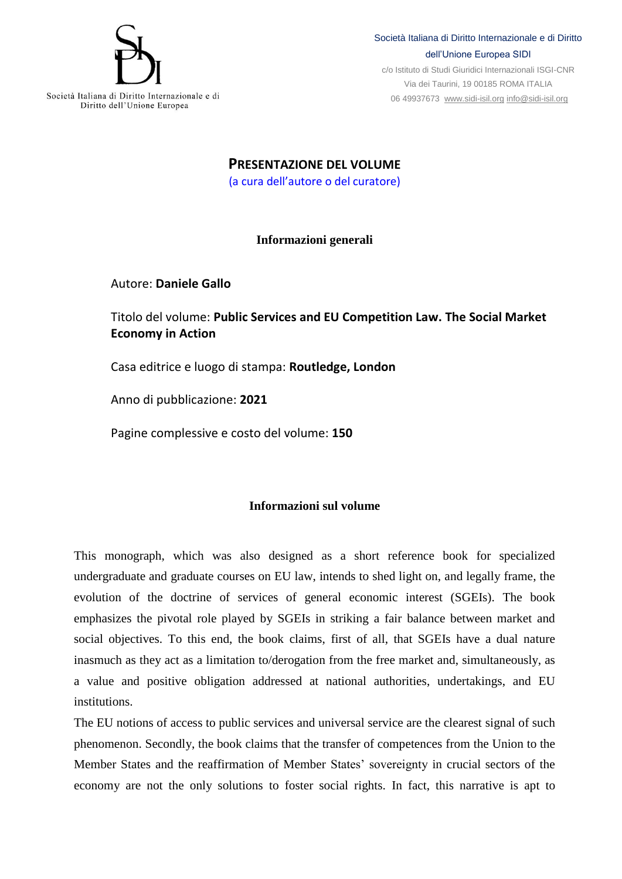

Società Italiana di Diritto Internazionale e di Diritto dell'Unione Europea SIDI

c/o Istituto di Studi Giuridici Internazionali ISGI-CNR Via dei Taurini, 19 00185 ROMA ITALIA 06 49937673 [www.sidi-isil.org](http://www.sidi-isil.org/) [info@sidi-isil.org](mailto:info@sidi-isil.org)

Società Italiana di Diritto Internazionale e di Diritto dell'Unione Europea

> **PRESENTAZIONE DEL VOLUME** (a cura dell'autore o del curatore)

## **Informazioni generali**

Autore: **Daniele Gallo**

Titolo del volume: **Public Services and EU Competition Law. The Social Market Economy in Action**

Casa editrice e luogo di stampa: **Routledge, London**

Anno di pubblicazione: **2021**

Pagine complessive e costo del volume: **150**

## **Informazioni sul volume**

This monograph, which was also designed as a short reference book for specialized undergraduate and graduate courses on EU law, intends to shed light on, and legally frame, the evolution of the doctrine of services of general economic interest (SGEIs). The book emphasizes the pivotal role played by SGEIs in striking a fair balance between market and social objectives. To this end, the book claims, first of all, that SGEIs have a dual nature inasmuch as they act as a limitation to/derogation from the free market and, simultaneously, as a value and positive obligation addressed at national authorities, undertakings, and EU institutions.

The EU notions of access to public services and universal service are the clearest signal of such phenomenon. Secondly, the book claims that the transfer of competences from the Union to the Member States and the reaffirmation of Member States' sovereignty in crucial sectors of the economy are not the only solutions to foster social rights. In fact, this narrative is apt to